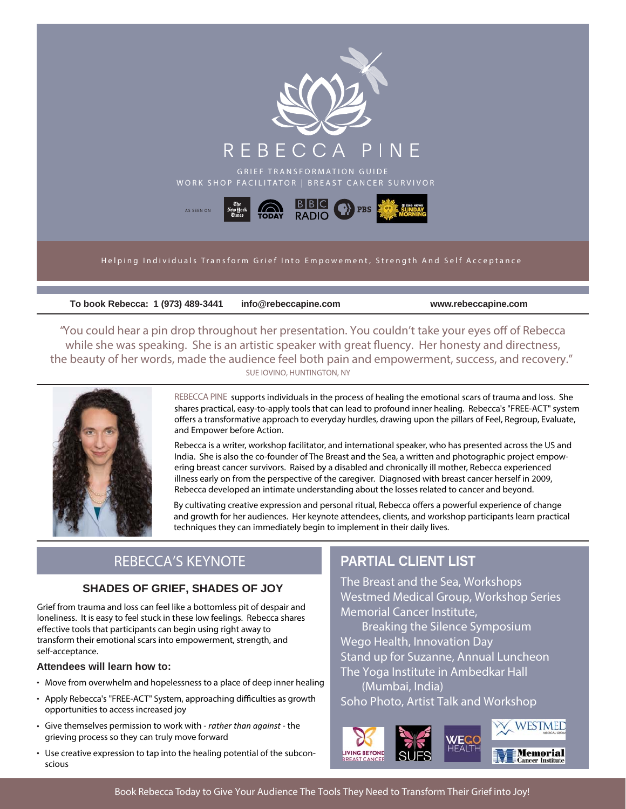

**To book Rebecca: 1 (973) 489-3441 info@rebeccapine.com www.rebeccapine.com**

"You could hear a pin drop throughout her presentation. You couldn't take your eyes off of Rebecca while she was speaking. She is an artistic speaker with great fluency. Her honesty and directness, the beauty of her words, made the audience feel both pain and empowerment, success, and recovery." **SUE IOVINO, HUNTINGTON, NY**



**REBECCA PINE** supports individuals in the process of healing the emotional scars of trauma and loss. She shares practical, easy-to-apply tools that can lead to profound inner healing. Rebecca's "FREE-ACT" system offers a transformative approach to everyday hurdles, drawing upon the pillars of Feel, Regroup, Evaluate, and Empower before Action.

Rebecca is a writer, workshop facilitator, and international speaker, who has presented across the US and India. She is also the co-founder of The Breast and the Sea, a written and photographic project empowering breast cancer survivors. Raised by a disabled and chronically ill mother, Rebecca experienced illness early on from the perspective of the caregiver. Diagnosed with breast cancer herself in 2009, Rebecca developed an intimate understanding about the losses related to cancer and beyond.

By cultivating creative expression and personal ritual, Rebecca offers a powerful experience of change and growth for her audiences. Her keynote attendees, clients, and workshop participants learn practical techniques they can immediately begin to implement in their daily lives.

## REBECCA'S KEYNOTE

#### **SHADES OF GRIEF, SHADES OF JOY**

Grief from trauma and loss can feel like a bottomless pit of despair and loneliness. It is easy to feel stuck in these low feelings. Rebecca shares effective tools that participants can begin using right away to transform their emotional scars into empowerment, strength, and self-acceptance.

#### **Attendees will learn how to:**

- Move from overwhelm and hopelessness to a place of deep inner healing
- Apply Rebecca's "FREE-ACT" System, approaching difficulties as growth opportunities to access increased joy
- Give themselves permission to work with *rather than against* the grieving process so they can truly move forward
- Use creative expression to tap into the healing potential of the subconscious

## **PARTIAL CLIENT LIST**

The Breast and the Sea, Workshops Westmed Medical Group, Workshop Series Memorial Cancer Institute,

 Breaking the Silence Symposium Wego Health, Innovation Day Stand up for Suzanne, Annual Luncheon The Yoga Institute in Ambedkar Hall

 (Mumbai, India) Soho Photo, Artist Talk and Workshop